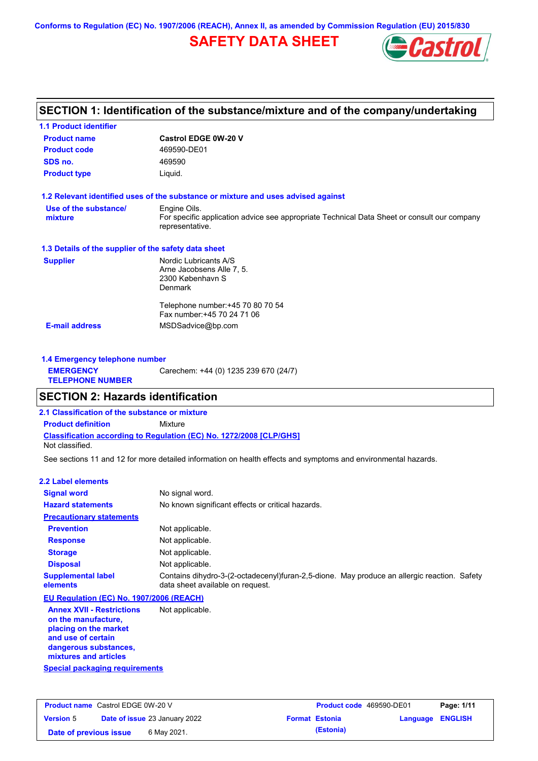**Conforms to Regulation (EC) No. 1907/2006 (REACH), Annex II, as amended by Commission Regulation (EU) 2015/830**

# **SAFETY DATA SHEET**



# **SECTION 1: Identification of the substance/mixture and of the company/undertaking**

| Castrol EDGE 0W-20 V                                                                                           |
|----------------------------------------------------------------------------------------------------------------|
| 469590-DE01                                                                                                    |
| 469590                                                                                                         |
| Liquid.                                                                                                        |
| 1.2 Relevant identified uses of the substance or mixture and uses advised against                              |
| Engine Oils.                                                                                                   |
| For specific application advice see appropriate Technical Data Sheet or consult our company<br>representative. |
| 1.3 Details of the supplier of the safety data sheet                                                           |
| Nordic Lubricants A/S                                                                                          |
| Arne Jacobsens Alle 7, 5.                                                                                      |
| 2300 København S                                                                                               |
| Denmark                                                                                                        |
| Telephone number: +45 70 80 70 54                                                                              |
| Fax number: +45 70 24 71 06                                                                                    |
| MSDSadvice@bp.com                                                                                              |
|                                                                                                                |

| 1.4 Emergency telephone number              |                                       |
|---------------------------------------------|---------------------------------------|
| <b>EMERGENCY</b><br><b>TELEPHONE NUMBER</b> | Carechem: +44 (0) 1235 239 670 (24/7) |

## **SECTION 2: Hazards identification**

**2.1 Classification of the substance or mixture**

**Classification according to Regulation (EC) No. 1272/2008 [CLP/GHS] Product definition** Mixture

Not classified.

See sections 11 and 12 for more detailed information on health effects and symptoms and environmental hazards.

#### **2.2 Label elements**

| <b>Signal word</b>                                                                                                                                       | No signal word.                                                                                                                 |
|----------------------------------------------------------------------------------------------------------------------------------------------------------|---------------------------------------------------------------------------------------------------------------------------------|
| <b>Hazard statements</b>                                                                                                                                 | No known significant effects or critical hazards.                                                                               |
| <b>Precautionary statements</b>                                                                                                                          |                                                                                                                                 |
| <b>Prevention</b>                                                                                                                                        | Not applicable.                                                                                                                 |
| <b>Response</b>                                                                                                                                          | Not applicable.                                                                                                                 |
| <b>Storage</b>                                                                                                                                           | Not applicable.                                                                                                                 |
| <b>Disposal</b>                                                                                                                                          | Not applicable.                                                                                                                 |
| <b>Supplemental label</b><br>elements                                                                                                                    | Contains dihydro-3-(2-octadecenyl)furan-2,5-dione. May produce an allergic reaction. Safety<br>data sheet available on request. |
| EU Regulation (EC) No. 1907/2006 (REACH)                                                                                                                 |                                                                                                                                 |
| <b>Annex XVII - Restrictions</b><br>on the manufacture,<br>placing on the market<br>and use of certain<br>dangerous substances,<br>mixtures and articles | Not applicable.                                                                                                                 |

|  | Special packaging requirements |  |
|--|--------------------------------|--|
|  |                                |  |

| <b>Product name</b> Castrol EDGE 0W-20 V |  | <b>Product code</b> 469590-DE01      |  | Page: 1/11            |          |                |
|------------------------------------------|--|--------------------------------------|--|-----------------------|----------|----------------|
| <b>Version 5</b>                         |  | <b>Date of issue 23 January 2022</b> |  | <b>Format Estonia</b> | Language | <b>ENGLISH</b> |
| Date of previous issue                   |  | 6 May 2021.                          |  | (Estonia)             |          |                |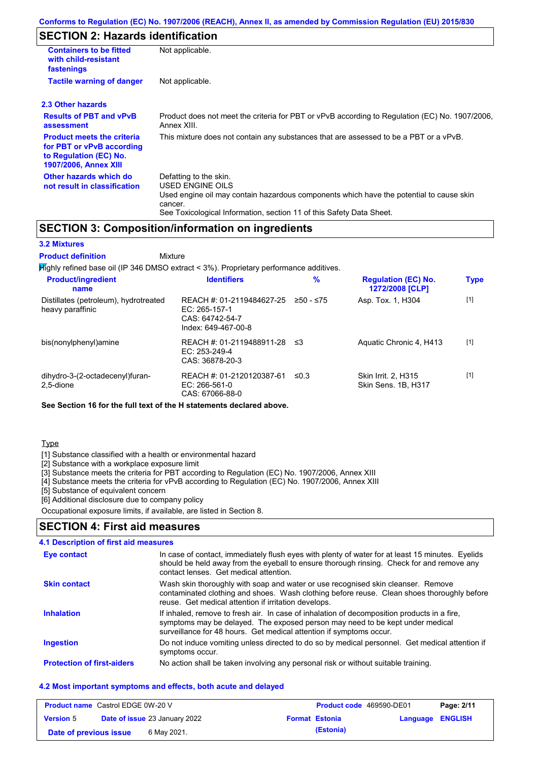# **SECTION 2: Hazards identification**

| <b>Containers to be fitted</b><br>with child-resistant<br>fastenings                                                     | Not applicable.                                                                                                                                                                                                          |
|--------------------------------------------------------------------------------------------------------------------------|--------------------------------------------------------------------------------------------------------------------------------------------------------------------------------------------------------------------------|
| <b>Tactile warning of danger</b>                                                                                         | Not applicable.                                                                                                                                                                                                          |
| 2.3 Other hazards                                                                                                        |                                                                                                                                                                                                                          |
| <b>Results of PBT and vPvB</b><br>assessment                                                                             | Product does not meet the criteria for PBT or vPvB according to Regulation (EC) No. 1907/2006,<br>Annex XIII.                                                                                                            |
| <b>Product meets the criteria</b><br>for PBT or vPvB according<br>to Regulation (EC) No.<br><b>1907/2006, Annex XIII</b> | This mixture does not contain any substances that are assessed to be a PBT or a vPvB.                                                                                                                                    |
| Other hazards which do<br>not result in classification                                                                   | Defatting to the skin.<br>USED ENGINE OILS<br>Used engine oil may contain hazardous components which have the potential to cause skin<br>cancer.<br>See Toxicological Information, section 11 of this Safety Data Sheet. |

## **SECTION 3: Composition/information on ingredients**

#### **3.2 Mixtures**

Mixture **Product definition**

| $H$ ighly refined base oil (IP 346 DMSO extract < 3%). Proprietary performance additives. |                                                                                        |           |                                                   |             |
|-------------------------------------------------------------------------------------------|----------------------------------------------------------------------------------------|-----------|---------------------------------------------------|-------------|
| <b>Product/ingredient</b><br>name                                                         | <b>Identifiers</b>                                                                     | %         | <b>Regulation (EC) No.</b><br>1272/2008 [CLP]     | <b>Type</b> |
| Distillates (petroleum), hydrotreated<br>heavy paraffinic                                 | REACH #: 01-2119484627-25<br>EC: $265-157-1$<br>CAS: 64742-54-7<br>Index: 649-467-00-8 | ≥50 - ≤75 | Asp. Tox. 1, H304                                 | $[1]$       |
| bis(nonylphenyl)amine                                                                     | REACH #: 01-2119488911-28<br>EC: $253-249-4$<br>CAS: 36878-20-3                        | - ≤3      | Aquatic Chronic 4, H413                           | $[1]$       |
| dihydro-3-(2-octadecenyl)furan-<br>2.5-dione                                              | REACH #: 01-2120120387-61<br>EC: 266-561-0<br>CAS: 67066-88-0                          | ≤0.3      | <b>Skin Irrit. 2. H315</b><br>Skin Sens. 1B. H317 | $[1]$       |

**See Section 16 for the full text of the H statements declared above.**

#### **Type**

[1] Substance classified with a health or environmental hazard

[2] Substance with a workplace exposure limit

[3] Substance meets the criteria for PBT according to Regulation (EC) No. 1907/2006, Annex XIII

[4] Substance meets the criteria for vPvB according to Regulation (EC) No. 1907/2006, Annex XIII

[5] Substance of equivalent concern

[6] Additional disclosure due to company policy

Occupational exposure limits, if available, are listed in Section 8.

### **SECTION 4: First aid measures**

#### **4.1 Description of first aid measures**

| <b>Eye contact</b>                | In case of contact, immediately flush eyes with plenty of water for at least 15 minutes. Eyelids<br>should be held away from the eyeball to ensure thorough rinsing. Check for and remove any<br>contact lenses. Get medical attention.             |
|-----------------------------------|-----------------------------------------------------------------------------------------------------------------------------------------------------------------------------------------------------------------------------------------------------|
| <b>Skin contact</b>               | Wash skin thoroughly with soap and water or use recognised skin cleanser. Remove<br>contaminated clothing and shoes. Wash clothing before reuse. Clean shoes thoroughly before<br>reuse. Get medical attention if irritation develops.              |
| <b>Inhalation</b>                 | If inhaled, remove to fresh air. In case of inhalation of decomposition products in a fire,<br>symptoms may be delayed. The exposed person may need to be kept under medical<br>surveillance for 48 hours. Get medical attention if symptoms occur. |
| <b>Ingestion</b>                  | Do not induce vomiting unless directed to do so by medical personnel. Get medical attention if<br>symptoms occur.                                                                                                                                   |
| <b>Protection of first-aiders</b> | No action shall be taken involving any personal risk or without suitable training.                                                                                                                                                                  |

#### **4.2 Most important symptoms and effects, both acute and delayed**

| <b>Product name</b> Castrol EDGE 0W-20 V |  | <b>Product code</b> 469590-DE01      |  | Page: 2/11            |                         |  |
|------------------------------------------|--|--------------------------------------|--|-----------------------|-------------------------|--|
| <b>Version 5</b>                         |  | <b>Date of issue 23 January 2022</b> |  | <b>Format Estonia</b> | <b>Language ENGLISH</b> |  |
| Date of previous issue                   |  | 6 May 2021.                          |  | (Estonia)             |                         |  |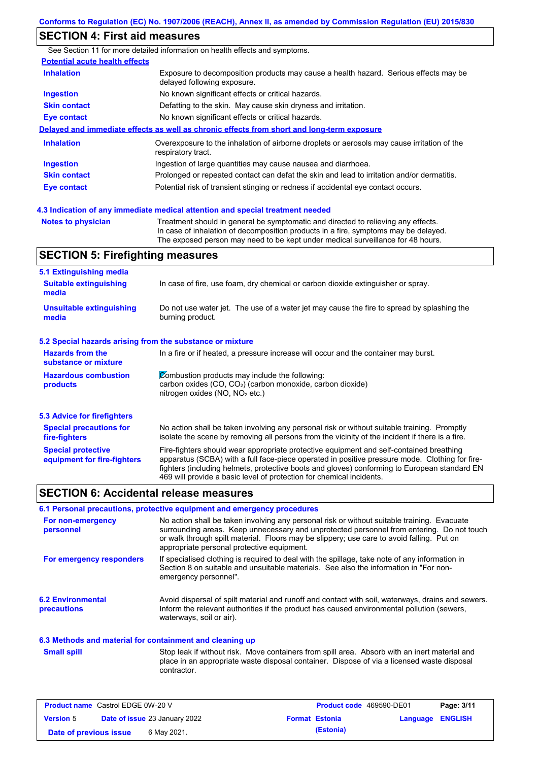## **SECTION 4: First aid measures**

See Section 11 for more detailed information on health effects and symptoms. **Potential acute health effects Inhalation** Exposure to decomposition products may cause a health hazard. Serious effects may be delayed following exposure. **Ingestion** No known significant effects or critical hazards. **Skin contact** Defatting to the skin. May cause skin dryness and irritation. **Eye contact** No known significant effects or critical hazards. **Delayed and immediate effects as well as chronic effects from short and long-term exposure Inhalation Ingestion Skin contact Eye contact** Overexposure to the inhalation of airborne droplets or aerosols may cause irritation of the respiratory tract. Ingestion of large quantities may cause nausea and diarrhoea. Prolonged or repeated contact can defat the skin and lead to irritation and/or dermatitis. Potential risk of transient stinging or redness if accidental eye contact occurs.

**Notes to physician** Treatment should in general be symptomatic and directed to relieving any effects. In case of inhalation of decomposition products in a fire, symptoms may be delayed. The exposed person may need to be kept under medical surveillance for 48 hours. **4.3 Indication of any immediate medical attention and special treatment needed**

## **SECTION 5: Firefighting measures**

| 5.1 Extinguishing media                                   |                                                                                                                                                                                                                                                                                                                                                                   |
|-----------------------------------------------------------|-------------------------------------------------------------------------------------------------------------------------------------------------------------------------------------------------------------------------------------------------------------------------------------------------------------------------------------------------------------------|
| <b>Suitable extinguishing</b><br>media                    | In case of fire, use foam, dry chemical or carbon dioxide extinguisher or spray.                                                                                                                                                                                                                                                                                  |
| <b>Unsuitable extinguishing</b><br>media                  | Do not use water jet. The use of a water jet may cause the fire to spread by splashing the<br>burning product.                                                                                                                                                                                                                                                    |
| 5.2 Special hazards arising from the substance or mixture |                                                                                                                                                                                                                                                                                                                                                                   |
| <b>Hazards from the</b><br>substance or mixture           | In a fire or if heated, a pressure increase will occur and the container may burst.                                                                                                                                                                                                                                                                               |
| <b>Hazardous combustion</b><br>products                   | Combustion products may include the following:<br>carbon oxides $(CO, CO2)$ (carbon monoxide, carbon dioxide)<br>nitrogen oxides ( $NO$ , $NO2$ etc.)                                                                                                                                                                                                             |
| 5.3 Advice for firefighters                               |                                                                                                                                                                                                                                                                                                                                                                   |
| <b>Special precautions for</b><br>fire-fighters           | No action shall be taken involving any personal risk or without suitable training. Promptly<br>isolate the scene by removing all persons from the vicinity of the incident if there is a fire.                                                                                                                                                                    |
| <b>Special protective</b><br>equipment for fire-fighters  | Fire-fighters should wear appropriate protective equipment and self-contained breathing<br>apparatus (SCBA) with a full face-piece operated in positive pressure mode. Clothing for fire-<br>fighters (including helmets, protective boots and gloves) conforming to European standard EN<br>469 will provide a basic level of protection for chemical incidents. |

#### **SECTION 6: Accidental release measures**

#### **6.1 Personal precautions, protective equipment and emergency procedures**

| For non-emergency<br>personnel          | No action shall be taken involving any personal risk or without suitable training. Evacuate<br>surrounding areas. Keep unnecessary and unprotected personnel from entering. Do not touch<br>or walk through spilt material. Floors may be slippery; use care to avoid falling. Put on<br>appropriate personal protective equipment. |
|-----------------------------------------|-------------------------------------------------------------------------------------------------------------------------------------------------------------------------------------------------------------------------------------------------------------------------------------------------------------------------------------|
| For emergency responders                | If specialised clothing is required to deal with the spillage, take note of any information in<br>Section 8 on suitable and unsuitable materials. See also the information in "For non-<br>emergency personnel".                                                                                                                    |
| <b>6.2 Environmental</b><br>precautions | Avoid dispersal of spilt material and runoff and contact with soil, waterways, drains and sewers.<br>Inform the relevant authorities if the product has caused environmental pollution (sewers,<br>waterways, soil or air).                                                                                                         |

#### **6.3 Methods and material for containment and cleaning up**

Stop leak if without risk. Move containers from spill area. Absorb with an inert material and place in an appropriate waste disposal container. Dispose of via a licensed waste disposal contractor. **Small spill**

| <b>Product name</b> Castrol EDGE 0W-20 V |  | <b>Product code</b> 469590-DE01      |  | Page: 3/11            |                         |  |
|------------------------------------------|--|--------------------------------------|--|-----------------------|-------------------------|--|
| <b>Version 5</b>                         |  | <b>Date of issue 23 January 2022</b> |  | <b>Format Estonia</b> | <b>Language ENGLISH</b> |  |
| Date of previous issue                   |  | 6 May 2021.                          |  | (Estonia)             |                         |  |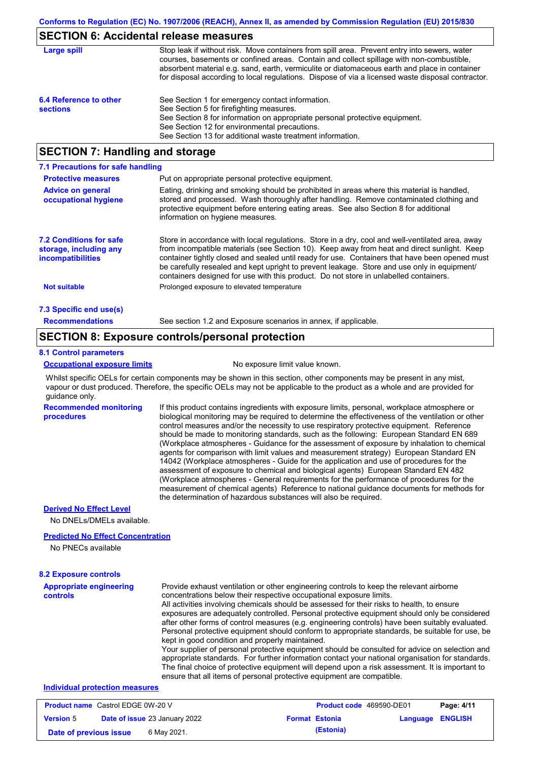## **SECTION 6: Accidental release measures**

| Large spill                               | Stop leak if without risk. Move containers from spill area. Prevent entry into sewers, water<br>courses, basements or confined areas. Contain and collect spillage with non-combustible,<br>absorbent material e.g. sand, earth, vermiculite or diatomaceous earth and place in container<br>for disposal according to local regulations. Dispose of via a licensed waste disposal contractor. |
|-------------------------------------------|------------------------------------------------------------------------------------------------------------------------------------------------------------------------------------------------------------------------------------------------------------------------------------------------------------------------------------------------------------------------------------------------|
| 6.4 Reference to other<br><b>sections</b> | See Section 1 for emergency contact information.<br>See Section 5 for firefighting measures.<br>See Section 8 for information on appropriate personal protective equipment.<br>See Section 12 for environmental precautions.<br>See Section 13 for additional waste treatment information.                                                                                                     |

## **SECTION 7: Handling and storage**

| 7.1 Precautions for safe handling                                             |                                                                                                                                                                                                                                                                                                                                                                                                                                                                                          |
|-------------------------------------------------------------------------------|------------------------------------------------------------------------------------------------------------------------------------------------------------------------------------------------------------------------------------------------------------------------------------------------------------------------------------------------------------------------------------------------------------------------------------------------------------------------------------------|
| <b>Protective measures</b>                                                    | Put on appropriate personal protective equipment.                                                                                                                                                                                                                                                                                                                                                                                                                                        |
| <b>Advice on general</b><br>occupational hygiene                              | Eating, drinking and smoking should be prohibited in areas where this material is handled,<br>stored and processed. Wash thoroughly after handling. Remove contaminated clothing and<br>protective equipment before entering eating areas. See also Section 8 for additional<br>information on hygiene measures.                                                                                                                                                                         |
| <b>7.2 Conditions for safe</b><br>storage, including any<br>incompatibilities | Store in accordance with local requlations. Store in a dry, cool and well-ventilated area, away<br>from incompatible materials (see Section 10). Keep away from heat and direct sunlight. Keep<br>container tightly closed and sealed until ready for use. Containers that have been opened must<br>be carefully resealed and kept upright to prevent leakage. Store and use only in equipment/<br>containers designed for use with this product. Do not store in unlabelled containers. |
| <b>Not suitable</b>                                                           | Prolonged exposure to elevated temperature                                                                                                                                                                                                                                                                                                                                                                                                                                               |
| 7.3 Specific end use(s)                                                       |                                                                                                                                                                                                                                                                                                                                                                                                                                                                                          |
| <b>Recommendations</b>                                                        | See section 1.2 and Exposure scenarios in annex, if applicable.                                                                                                                                                                                                                                                                                                                                                                                                                          |

## **SECTION 8: Exposure controls/personal protection**

#### **8.1 Control parameters**

#### **Occupational exposure limits** No exposure limit value known.

Whilst specific OELs for certain components may be shown in this section, other components may be present in any mist, vapour or dust produced. Therefore, the specific OELs may not be applicable to the product as a whole and are provided for guidance only.

**Recommended monitoring procedures**

If this product contains ingredients with exposure limits, personal, workplace atmosphere or biological monitoring may be required to determine the effectiveness of the ventilation or other control measures and/or the necessity to use respiratory protective equipment. Reference should be made to monitoring standards, such as the following: European Standard EN 689 (Workplace atmospheres - Guidance for the assessment of exposure by inhalation to chemical agents for comparison with limit values and measurement strategy) European Standard EN 14042 (Workplace atmospheres - Guide for the application and use of procedures for the assessment of exposure to chemical and biological agents) European Standard EN 482 (Workplace atmospheres - General requirements for the performance of procedures for the measurement of chemical agents) Reference to national guidance documents for methods for the determination of hazardous substances will also be required.

#### **Derived No Effect Level**

No DNELs/DMELs available.

#### **Predicted No Effect Concentration**

No PNECs available

| <b>8.2 Exposure controls</b>               |                                                                                                                                                                                                                                                                                                                                                                                                                                                                                                                                                                                                                                                                                                                                                                                                                                                                                                                                                                                                         |
|--------------------------------------------|---------------------------------------------------------------------------------------------------------------------------------------------------------------------------------------------------------------------------------------------------------------------------------------------------------------------------------------------------------------------------------------------------------------------------------------------------------------------------------------------------------------------------------------------------------------------------------------------------------------------------------------------------------------------------------------------------------------------------------------------------------------------------------------------------------------------------------------------------------------------------------------------------------------------------------------------------------------------------------------------------------|
| <b>Appropriate engineering</b><br>controls | Provide exhaust ventilation or other engineering controls to keep the relevant airborne<br>concentrations below their respective occupational exposure limits.<br>All activities involving chemicals should be assessed for their risks to health, to ensure<br>exposures are adequately controlled. Personal protective equipment should only be considered<br>after other forms of control measures (e.g. engineering controls) have been suitably evaluated.<br>Personal protective equipment should conform to appropriate standards, be suitable for use, be<br>kept in good condition and properly maintained.<br>Your supplier of personal protective equipment should be consulted for advice on selection and<br>appropriate standards. For further information contact your national organisation for standards.<br>The final choice of protective equipment will depend upon a risk assessment. It is important to<br>ensure that all items of personal protective equipment are compatible. |
| Individual protection measures             |                                                                                                                                                                                                                                                                                                                                                                                                                                                                                                                                                                                                                                                                                                                                                                                                                                                                                                                                                                                                         |

| <b>Product name</b> Castrol EDGE 0W-20 V |  |                                      | <b>Product code</b> 469590-DE01 |                       | Page: 4/11              |  |
|------------------------------------------|--|--------------------------------------|---------------------------------|-----------------------|-------------------------|--|
| <b>Version 5</b>                         |  | <b>Date of issue 23 January 2022</b> |                                 | <b>Format Estonia</b> | <b>Language ENGLISH</b> |  |
| Date of previous issue                   |  | 6 May 2021.                          |                                 | (Estonia)             |                         |  |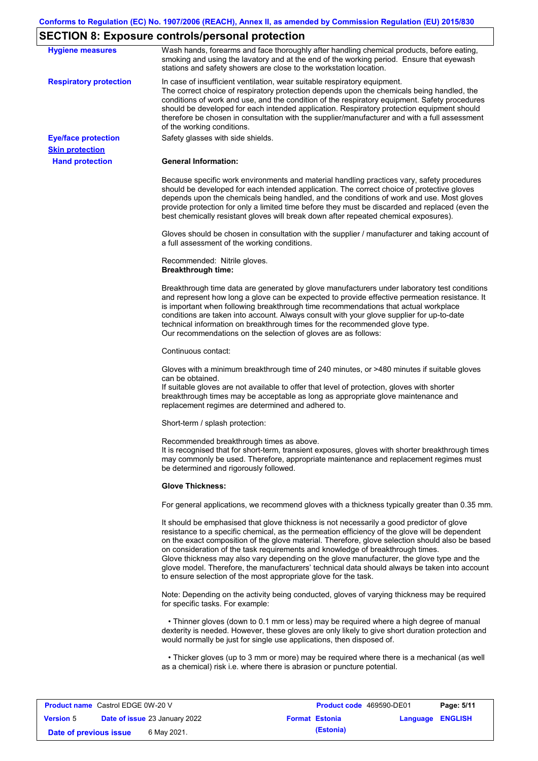# **SECTION 8: Exposure controls/personal protection**

| <b>Hygiene measures</b>                          | Wash hands, forearms and face thoroughly after handling chemical products, before eating,<br>smoking and using the lavatory and at the end of the working period. Ensure that eyewash<br>stations and safety showers are close to the workstation location.                                                                                                                                                                                                                                                                                                                                                                                       |
|--------------------------------------------------|---------------------------------------------------------------------------------------------------------------------------------------------------------------------------------------------------------------------------------------------------------------------------------------------------------------------------------------------------------------------------------------------------------------------------------------------------------------------------------------------------------------------------------------------------------------------------------------------------------------------------------------------------|
| <b>Respiratory protection</b>                    | In case of insufficient ventilation, wear suitable respiratory equipment.<br>The correct choice of respiratory protection depends upon the chemicals being handled, the<br>conditions of work and use, and the condition of the respiratory equipment. Safety procedures<br>should be developed for each intended application. Respiratory protection equipment should<br>therefore be chosen in consultation with the supplier/manufacturer and with a full assessment<br>of the working conditions.                                                                                                                                             |
| <b>Eye/face protection</b>                       | Safety glasses with side shields.                                                                                                                                                                                                                                                                                                                                                                                                                                                                                                                                                                                                                 |
| <b>Skin protection</b><br><b>Hand protection</b> | <b>General Information:</b>                                                                                                                                                                                                                                                                                                                                                                                                                                                                                                                                                                                                                       |
|                                                  | Because specific work environments and material handling practices vary, safety procedures<br>should be developed for each intended application. The correct choice of protective gloves<br>depends upon the chemicals being handled, and the conditions of work and use. Most gloves<br>provide protection for only a limited time before they must be discarded and replaced (even the<br>best chemically resistant gloves will break down after repeated chemical exposures).                                                                                                                                                                  |
|                                                  | Gloves should be chosen in consultation with the supplier / manufacturer and taking account of<br>a full assessment of the working conditions.                                                                                                                                                                                                                                                                                                                                                                                                                                                                                                    |
|                                                  | Recommended: Nitrile gloves.<br><b>Breakthrough time:</b>                                                                                                                                                                                                                                                                                                                                                                                                                                                                                                                                                                                         |
|                                                  | Breakthrough time data are generated by glove manufacturers under laboratory test conditions<br>and represent how long a glove can be expected to provide effective permeation resistance. It<br>is important when following breakthrough time recommendations that actual workplace<br>conditions are taken into account. Always consult with your glove supplier for up-to-date<br>technical information on breakthrough times for the recommended glove type.<br>Our recommendations on the selection of gloves are as follows:                                                                                                                |
|                                                  | Continuous contact:                                                                                                                                                                                                                                                                                                                                                                                                                                                                                                                                                                                                                               |
|                                                  | Gloves with a minimum breakthrough time of 240 minutes, or >480 minutes if suitable gloves<br>can be obtained.<br>If suitable gloves are not available to offer that level of protection, gloves with shorter<br>breakthrough times may be acceptable as long as appropriate glove maintenance and<br>replacement regimes are determined and adhered to.                                                                                                                                                                                                                                                                                          |
|                                                  | Short-term / splash protection:                                                                                                                                                                                                                                                                                                                                                                                                                                                                                                                                                                                                                   |
|                                                  | Recommended breakthrough times as above.<br>It is recognised that for short-term, transient exposures, gloves with shorter breakthrough times<br>may commonly be used. Therefore, appropriate maintenance and replacement regimes must<br>be determined and rigorously followed.                                                                                                                                                                                                                                                                                                                                                                  |
|                                                  | <b>Glove Thickness:</b>                                                                                                                                                                                                                                                                                                                                                                                                                                                                                                                                                                                                                           |
|                                                  | For general applications, we recommend gloves with a thickness typically greater than 0.35 mm.                                                                                                                                                                                                                                                                                                                                                                                                                                                                                                                                                    |
|                                                  | It should be emphasised that glove thickness is not necessarily a good predictor of glove<br>resistance to a specific chemical, as the permeation efficiency of the glove will be dependent<br>on the exact composition of the glove material. Therefore, glove selection should also be based<br>on consideration of the task requirements and knowledge of breakthrough times.<br>Glove thickness may also vary depending on the glove manufacturer, the glove type and the<br>glove model. Therefore, the manufacturers' technical data should always be taken into account<br>to ensure selection of the most appropriate glove for the task. |
|                                                  | Note: Depending on the activity being conducted, gloves of varying thickness may be required<br>for specific tasks. For example:                                                                                                                                                                                                                                                                                                                                                                                                                                                                                                                  |
|                                                  | • Thinner gloves (down to 0.1 mm or less) may be required where a high degree of manual<br>dexterity is needed. However, these gloves are only likely to give short duration protection and<br>would normally be just for single use applications, then disposed of.                                                                                                                                                                                                                                                                                                                                                                              |
|                                                  | • Thicker gloves (up to 3 mm or more) may be required where there is a mechanical (as well<br>as a chemical) risk i.e. where there is abrasion or puncture potential.                                                                                                                                                                                                                                                                                                                                                                                                                                                                             |

| <b>Product name</b> Castrol EDGE 0W-20 V |  |                                      | <b>Product code</b> 469590-DE01 |                       | Page: 5/11              |  |
|------------------------------------------|--|--------------------------------------|---------------------------------|-----------------------|-------------------------|--|
| <b>Version 5</b>                         |  | <b>Date of issue 23 January 2022</b> |                                 | <b>Format Estonia</b> | <b>Language ENGLISH</b> |  |
| Date of previous issue                   |  | 6 May 2021.                          |                                 | (Estonia)             |                         |  |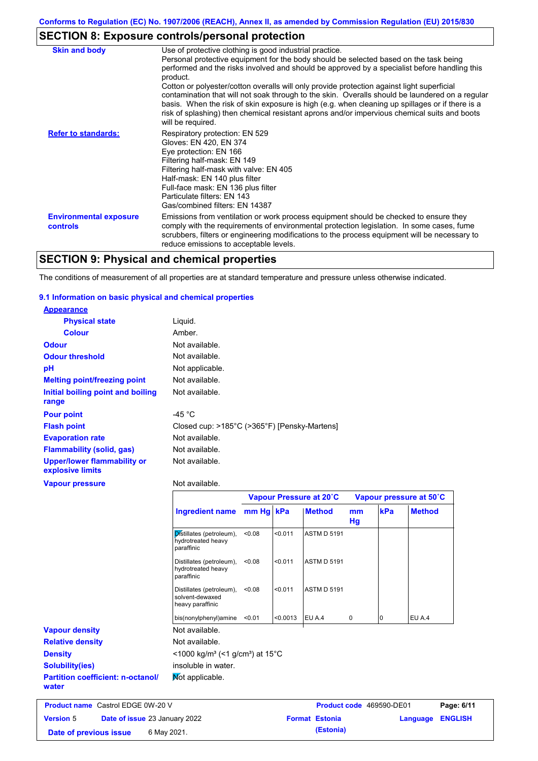# **SECTION 8: Exposure controls/personal protection**

| <b>Skin and body</b>                             | Use of protective clothing is good industrial practice.                                                                                                                                                                                                                                                                                                                                                               |
|--------------------------------------------------|-----------------------------------------------------------------------------------------------------------------------------------------------------------------------------------------------------------------------------------------------------------------------------------------------------------------------------------------------------------------------------------------------------------------------|
|                                                  | Personal protective equipment for the body should be selected based on the task being<br>performed and the risks involved and should be approved by a specialist before handling this<br>product.                                                                                                                                                                                                                     |
|                                                  | Cotton or polyester/cotton overalls will only provide protection against light superficial<br>contamination that will not soak through to the skin. Overalls should be laundered on a regular<br>basis. When the risk of skin exposure is high (e.g. when cleaning up spillages or if there is a<br>risk of splashing) then chemical resistant aprons and/or impervious chemical suits and boots<br>will be required. |
| <b>Refer to standards:</b>                       | Respiratory protection: EN 529<br>Gloves: EN 420, EN 374<br>Eye protection: EN 166<br>Filtering half-mask: EN 149<br>Filtering half-mask with valve: EN 405<br>Half-mask: EN 140 plus filter<br>Full-face mask: EN 136 plus filter<br>Particulate filters: EN 143<br>Gas/combined filters: EN 14387                                                                                                                   |
| <b>Environmental exposure</b><br><b>controls</b> | Emissions from ventilation or work process equipment should be checked to ensure they<br>comply with the requirements of environmental protection legislation. In some cases, fume<br>scrubbers, filters or engineering modifications to the process equipment will be necessary to<br>reduce emissions to acceptable levels.                                                                                         |

# **SECTION 9: Physical and chemical properties**

The conditions of measurement of all properties are at standard temperature and pressure unless otherwise indicated.

#### **9.1 Information on basic physical and chemical properties**

| <b>Appearance</b>                                      |                                                              |           |         |                         |          |     |                         |
|--------------------------------------------------------|--------------------------------------------------------------|-----------|---------|-------------------------|----------|-----|-------------------------|
| <b>Physical state</b>                                  | Liquid.                                                      |           |         |                         |          |     |                         |
| <b>Colour</b>                                          | Amber.                                                       |           |         |                         |          |     |                         |
| Odour                                                  | Not available.                                               |           |         |                         |          |     |                         |
| <b>Odour threshold</b>                                 | Not available.                                               |           |         |                         |          |     |                         |
| pH                                                     | Not applicable.                                              |           |         |                         |          |     |                         |
| <b>Melting point/freezing point</b>                    | Not available.                                               |           |         |                         |          |     |                         |
| Initial boiling point and boiling<br>range             | Not available.                                               |           |         |                         |          |     |                         |
| <b>Pour point</b>                                      | -45 $^{\circ}$ C                                             |           |         |                         |          |     |                         |
| <b>Flash point</b>                                     | Closed cup: >185°C (>365°F) [Pensky-Martens]                 |           |         |                         |          |     |                         |
| <b>Evaporation rate</b>                                | Not available.                                               |           |         |                         |          |     |                         |
| <b>Flammability (solid, gas)</b>                       | Not available.                                               |           |         |                         |          |     |                         |
| <b>Upper/lower flammability or</b><br>explosive limits | Not available.                                               |           |         |                         |          |     |                         |
| <b>Vapour pressure</b>                                 | Not available.                                               |           |         |                         |          |     |                         |
|                                                        |                                                              |           |         | Vapour Pressure at 20°C |          |     | Vapour pressure at 50°C |
|                                                        | <b>Ingredient name</b>                                       | mm Hg kPa |         | <b>Method</b>           | mm<br>Hg | kPa | <b>Method</b>           |
|                                                        | Distillates (petroleum),<br>hydrotreated heavy<br>paraffinic | < 0.08    | < 0.011 | <b>ASTM D 5191</b>      |          |     |                         |
|                                                        | Distillates (petroleum),<br>hydrotreated heavy<br>paraffinic | < 0.08    | < 0.011 | <b>ASTM D 5191</b>      |          |     |                         |

|                                                   | Distillates (petroleum),<br>solvent-dewaxed<br>heavy paraffinic         | < 0.08 | < 0.011  | <b>ASTM D 5191</b> |   |        |  |
|---------------------------------------------------|-------------------------------------------------------------------------|--------|----------|--------------------|---|--------|--|
|                                                   | bis(nonylphenyl)amine                                                   | < 0.01 | < 0.0013 | EU A.4             | 0 | EU A.4 |  |
| <b>Vapour density</b>                             | Not available.                                                          |        |          |                    |   |        |  |
| <b>Relative density</b>                           | Not available.                                                          |        |          |                    |   |        |  |
| <b>Density</b>                                    | $<$ 1000 kg/m <sup>3</sup> (<1 g/cm <sup>3</sup> ) at 15 <sup>°</sup> C |        |          |                    |   |        |  |
| <b>Solubility(ies)</b>                            | insoluble in water.                                                     |        |          |                    |   |        |  |
| <b>Partition coefficient: n-octanol/</b><br>water | Not applicable.                                                         |        |          |                    |   |        |  |

| <b>Product name</b> Castrol EDGE 0W-20 V |  |                                      | <b>Product code</b> 469590-DE01 |                       | Page: 6/11              |  |
|------------------------------------------|--|--------------------------------------|---------------------------------|-----------------------|-------------------------|--|
| <b>Version 5</b>                         |  | <b>Date of issue 23 January 2022</b> |                                 | <b>Format Estonia</b> | <b>Language ENGLISH</b> |  |
| Date of previous issue                   |  | 6 May 2021.                          |                                 | (Estonia)             |                         |  |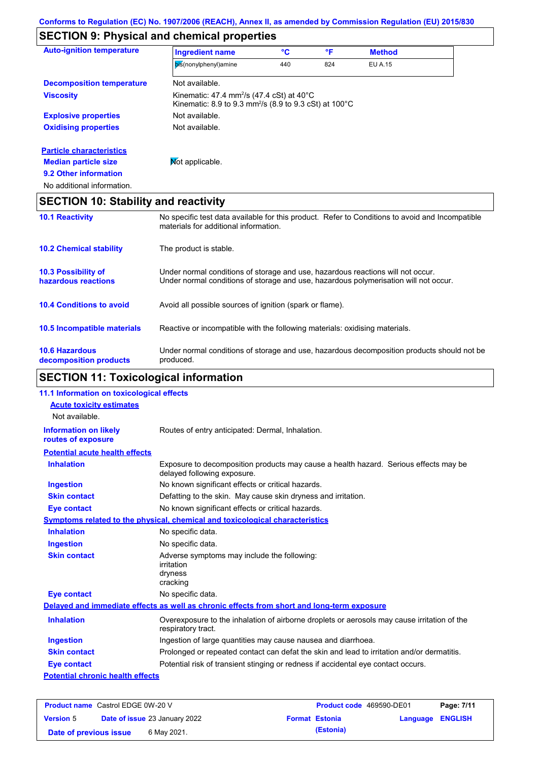# **SECTION 9: Physical and chemical properties**

| <b>Auto-ignition temperature</b>            | <b>Ingredient name</b>                                                                                                                            | °C  | °F  | <b>Method</b>  |  |
|---------------------------------------------|---------------------------------------------------------------------------------------------------------------------------------------------------|-----|-----|----------------|--|
|                                             | bis(nonylphenyl)amine                                                                                                                             | 440 | 824 | <b>EU A.15</b> |  |
| <b>Decomposition temperature</b>            | Not available.                                                                                                                                    |     |     |                |  |
| <b>Viscosity</b>                            | Kinematic: 47.4 mm <sup>2</sup> /s (47.4 cSt) at 40 $^{\circ}$ C<br>Kinematic: 8.9 to 9.3 mm <sup>2</sup> /s (8.9 to 9.3 cSt) at 100 $^{\circ}$ C |     |     |                |  |
| <b>Explosive properties</b>                 | Not available.                                                                                                                                    |     |     |                |  |
| <b>Oxidising properties</b>                 | Not available.                                                                                                                                    |     |     |                |  |
| <b>Particle characteristics</b>             |                                                                                                                                                   |     |     |                |  |
| <b>Median particle size</b>                 | <b>Not applicable.</b>                                                                                                                            |     |     |                |  |
| 9.2 Other information                       |                                                                                                                                                   |     |     |                |  |
| No additional information.                  |                                                                                                                                                   |     |     |                |  |
| <b>SECTION 10: Stability and reactivity</b> |                                                                                                                                                   |     |     |                |  |
| <b>10.1 Reactivity</b>                      | No specific test data available for this product. Refer to Conditions to avoid and Incompatible<br>materials for additional information.          |     |     |                |  |
|                                             |                                                                                                                                                   |     |     |                |  |

| <b>10.2 Chemical stability</b>                    | The product is stable.                                                                                                                                                  |
|---------------------------------------------------|-------------------------------------------------------------------------------------------------------------------------------------------------------------------------|
| <b>10.3 Possibility of</b><br>hazardous reactions | Under normal conditions of storage and use, hazardous reactions will not occur.<br>Under normal conditions of storage and use, hazardous polymerisation will not occur. |
| <b>10.4 Conditions to avoid</b>                   | Avoid all possible sources of ignition (spark or flame).                                                                                                                |
| <b>10.5 Incompatible materials</b>                | Reactive or incompatible with the following materials: oxidising materials.                                                                                             |
| <b>10.6 Hazardous</b><br>decomposition products   | Under normal conditions of storage and use, hazardous decomposition products should not be<br>produced.                                                                 |

# **SECTION 11: Toxicological information**

| 11.1 Information on toxicological effects          |                                                                                                                     |
|----------------------------------------------------|---------------------------------------------------------------------------------------------------------------------|
| <b>Acute toxicity estimates</b>                    |                                                                                                                     |
| Not available.                                     |                                                                                                                     |
| <b>Information on likely</b><br>routes of exposure | Routes of entry anticipated: Dermal, Inhalation.                                                                    |
| <b>Potential acute health effects</b>              |                                                                                                                     |
| <b>Inhalation</b>                                  | Exposure to decomposition products may cause a health hazard. Serious effects may be<br>delayed following exposure. |
| <b>Ingestion</b>                                   | No known significant effects or critical hazards.                                                                   |
| <b>Skin contact</b>                                | Defatting to the skin. May cause skin dryness and irritation.                                                       |
| <b>Eye contact</b>                                 | No known significant effects or critical hazards.                                                                   |
|                                                    | <b>Symptoms related to the physical, chemical and toxicological characteristics</b>                                 |
| <b>Inhalation</b>                                  | No specific data.                                                                                                   |
| <b>Ingestion</b>                                   | No specific data.                                                                                                   |
| <b>Skin contact</b>                                | Adverse symptoms may include the following:<br>irritation<br>dryness<br>cracking                                    |
| <b>Eye contact</b>                                 | No specific data.                                                                                                   |
|                                                    | Delayed and immediate effects as well as chronic effects from short and long-term exposure                          |
| <b>Inhalation</b>                                  | Overexposure to the inhalation of airborne droplets or aerosols may cause irritation of the<br>respiratory tract.   |
| <b>Ingestion</b>                                   | Ingestion of large quantities may cause nausea and diarrhoea.                                                       |
| <b>Skin contact</b>                                | Prolonged or repeated contact can defat the skin and lead to irritation and/or dermatitis.                          |
| <b>Eye contact</b>                                 | Potential risk of transient stinging or redness if accidental eye contact occurs.                                   |
| <b>Potential chronic health effects</b>            |                                                                                                                     |

| <b>Product name</b> Castrol EDGE 0W-20 V |  |                                      | <b>Product code</b> 469590-DE01 |                       | Page: 7/11              |  |
|------------------------------------------|--|--------------------------------------|---------------------------------|-----------------------|-------------------------|--|
| <b>Version 5</b>                         |  | <b>Date of issue 23 January 2022</b> |                                 | <b>Format Estonia</b> | <b>Language ENGLISH</b> |  |
| Date of previous issue                   |  | 6 May 2021.                          |                                 | (Estonia)             |                         |  |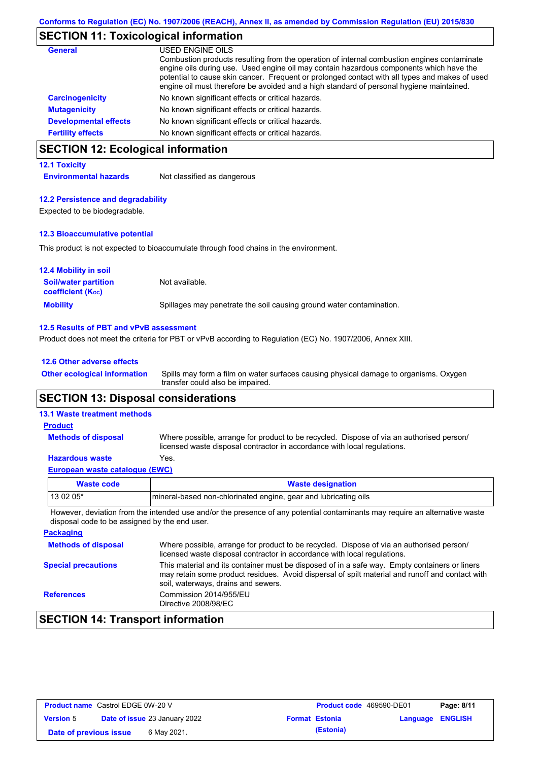# **SECTION 11: Toxicological information**

| <b>General</b>               | USED ENGINE OILS                                                                                                                                                                                                                                                                                                                                                                     |
|------------------------------|--------------------------------------------------------------------------------------------------------------------------------------------------------------------------------------------------------------------------------------------------------------------------------------------------------------------------------------------------------------------------------------|
|                              | Combustion products resulting from the operation of internal combustion engines contaminate<br>engine oils during use. Used engine oil may contain hazardous components which have the<br>potential to cause skin cancer. Frequent or prolonged contact with all types and makes of used<br>engine oil must therefore be avoided and a high standard of personal hygiene maintained. |
| <b>Carcinogenicity</b>       | No known significant effects or critical hazards.                                                                                                                                                                                                                                                                                                                                    |
| <b>Mutagenicity</b>          | No known significant effects or critical hazards.                                                                                                                                                                                                                                                                                                                                    |
| <b>Developmental effects</b> | No known significant effects or critical hazards.                                                                                                                                                                                                                                                                                                                                    |
| <b>Fertility effects</b>     | No known significant effects or critical hazards.                                                                                                                                                                                                                                                                                                                                    |

# **SECTION 12: Ecological information**

#### **12.1 Toxicity**

**Environmental hazards** Not classified as dangerous

#### **12.2 Persistence and degradability**

Expected to be biodegradable.

#### **12.3 Bioaccumulative potential**

This product is not expected to bioaccumulate through food chains in the environment.

| <b>12.4 Mobility in soil</b>                                  |                                                                      |
|---------------------------------------------------------------|----------------------------------------------------------------------|
| <b>Soil/water partition</b><br>coefficient (K <sub>oc</sub> ) | Not available.                                                       |
| <b>Mobility</b>                                               | Spillages may penetrate the soil causing ground water contamination. |

#### **12.5 Results of PBT and vPvB assessment**

Product does not meet the criteria for PBT or vPvB according to Regulation (EC) No. 1907/2006, Annex XIII.

#### **12.6 Other adverse effects**

Spills may form a film on water surfaces causing physical damage to organisms. Oxygen transfer could also be impaired. **Other ecological information**

## **SECTION 13: Disposal considerations**

#### **13.1 Waste treatment methods**

**Methods of disposal**

**Product**

Where possible, arrange for product to be recycled. Dispose of via an authorised person/ licensed waste disposal contractor in accordance with local regulations.

#### **Hazardous waste** Yes.

|  | European waste catalogue (EWC) |  |  |
|--|--------------------------------|--|--|
|  |                                |  |  |

| Waste code                                                                                                                 | <b>Waste designation</b>                                        |  |
|----------------------------------------------------------------------------------------------------------------------------|-----------------------------------------------------------------|--|
| $130205*$                                                                                                                  | mineral-based non-chlorinated engine, gear and lubricating oils |  |
| However deviation from the intended use and/or the presence of any potential contaminants may require an alternative waste |                                                                 |  |

However, deviation from the intended use and/or the presence of any potential contaminants may disposal code to be assigned by the end user.

| <b>Packaging</b>           |                                                                                                                                                                                                                                         |
|----------------------------|-----------------------------------------------------------------------------------------------------------------------------------------------------------------------------------------------------------------------------------------|
| <b>Methods of disposal</b> | Where possible, arrange for product to be recycled. Dispose of via an authorised person/<br>licensed waste disposal contractor in accordance with local regulations.                                                                    |
| <b>Special precautions</b> | This material and its container must be disposed of in a safe way. Empty containers or liners<br>may retain some product residues. Avoid dispersal of spilt material and runoff and contact with<br>soil, waterways, drains and sewers. |
| <b>References</b>          | Commission 2014/955/EU<br>Directive 2008/98/EC                                                                                                                                                                                          |

# **SECTION 14: Transport information**

| <b>Product name</b> Castrol EDGE 0W-20 V |                                      |             | <b>Product code</b> 469590-DE01 |                       | Page: 8/11              |  |
|------------------------------------------|--------------------------------------|-------------|---------------------------------|-----------------------|-------------------------|--|
| <b>Version 5</b>                         | <b>Date of issue 23 January 2022</b> |             |                                 | <b>Format Estonia</b> | <b>Language ENGLISH</b> |  |
| Date of previous issue                   |                                      | 6 May 2021. |                                 | (Estonia)             |                         |  |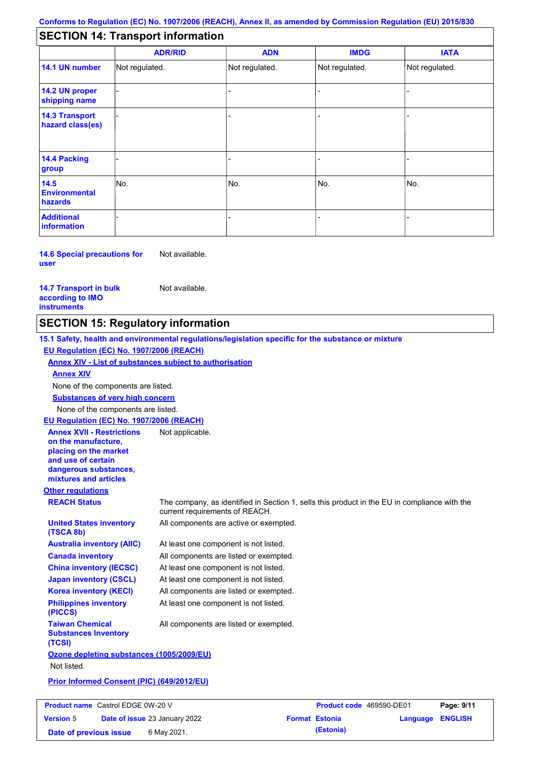# **SECTION 14: Transport information**

|                                           | <b>ADR/RID</b> | <b>ADN</b>     | <b>IMDG</b>    | <b>IATA</b>    |
|-------------------------------------------|----------------|----------------|----------------|----------------|
| 14.1 UN number                            | Not regulated. | Not regulated. | Not regulated. | Not regulated. |
| 14.2 UN proper<br>shipping name           |                |                |                |                |
| <b>14.3 Transport</b><br>hazard class(es) |                |                |                |                |
| <b>14.4 Packing</b><br>group              |                |                |                |                |
| 14.5<br><b>Environmental</b><br>hazards   | No.            | No.            | No.            | No.            |
| <b>Additional</b><br>information          |                |                |                |                |

**14.6 Special precautions for user** Not available.

**14.7 Transport in bulk according to IMO instruments**

Not available.

## **SECTION 15: Regulatory information**

**Other regulations REACH Status** The company, as identified in Section 1, sells this product in the EU in compliance with the current requirements of REACH. **15.1 Safety, health and environmental regulations/legislation specific for the substance or mixture EU Regulation (EC) No. 1907/2006 (REACH) Annex XIV - List of substances subject to authorisation Substances of very high concern** None of the components are listed. At least one component is not listed. All components are listed or exempted. At least one component is not listed. At least one component is not listed. All components are active or exempted. All components are listed or exempted. At least one component is not listed. **United States inventory (TSCA 8b) Australia inventory (AIIC) Canada inventory China inventory (IECSC) Japan inventory (CSCL) Korea inventory (KECI) Philippines inventory (PICCS) Taiwan Chemical Substances Inventory (TCSI)** All components are listed or exempted. **Ozone depleting substances (1005/2009/EU)** Not listed. **Prior Informed Consent (PIC) (649/2012/EU)** None of the components are listed. **Annex XIV EU Regulation (EC) No. 1907/2006 (REACH) Annex XVII - Restrictions on the manufacture, placing on the market and use of certain dangerous substances, mixtures and articles** Not applicable.

| <b>Product name</b> Castrol EDGE 0W-20 V |  | <b>Product code</b> 469590-DE01      |  | Page: 9/11            |                         |  |
|------------------------------------------|--|--------------------------------------|--|-----------------------|-------------------------|--|
| <b>Version 5</b>                         |  | <b>Date of issue 23 January 2022</b> |  | <b>Format Estonia</b> | <b>Language ENGLISH</b> |  |
| Date of previous issue                   |  | 6 May 2021.                          |  | (Estonia)             |                         |  |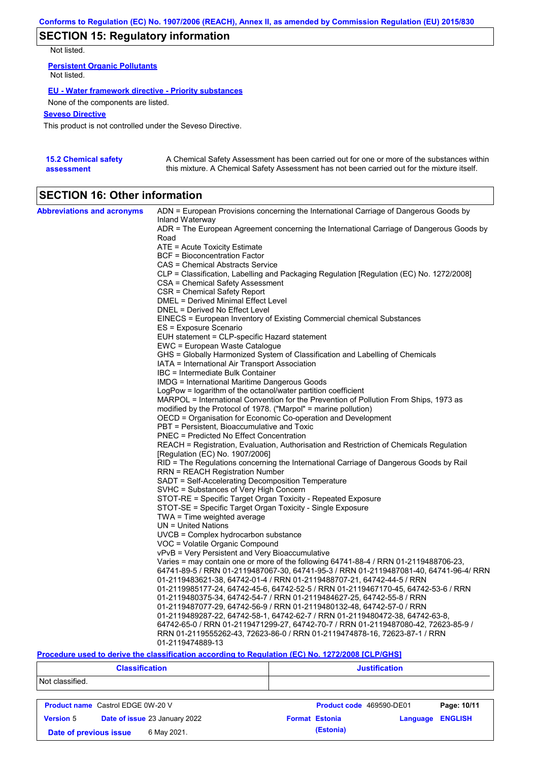# **SECTION 15: Regulatory information**

Not listed.

**Persistent Organic Pollutants** Not listed.

#### **EU - Water framework directive - Priority substances**

None of the components are listed.

#### **Seveso Directive**

This product is not controlled under the Seveso Directive.

| <b>15.2 Chemical safety</b> | A Chemical Safety Assessment has been carried out for one or more of the substances within  |
|-----------------------------|---------------------------------------------------------------------------------------------|
| assessment                  | this mixture. A Chemical Safety Assessment has not been carried out for the mixture itself. |

# **SECTION 16: Other information**

| <b>Abbreviations and acronyms</b> | ADN = European Provisions concerning the International Carriage of Dangerous Goods by<br>Inland Waterway |
|-----------------------------------|----------------------------------------------------------------------------------------------------------|
|                                   | ADR = The European Agreement concerning the International Carriage of Dangerous Goods by                 |
|                                   | Road                                                                                                     |
|                                   | ATE = Acute Toxicity Estimate<br><b>BCF</b> = Bioconcentration Factor                                    |
|                                   |                                                                                                          |
|                                   | CAS = Chemical Abstracts Service                                                                         |
|                                   | CLP = Classification, Labelling and Packaging Regulation [Regulation (EC) No. 1272/2008]                 |
|                                   | CSA = Chemical Safety Assessment                                                                         |
|                                   | CSR = Chemical Safety Report                                                                             |
|                                   | DMEL = Derived Minimal Effect Level                                                                      |
|                                   | DNEL = Derived No Effect Level                                                                           |
|                                   | EINECS = European Inventory of Existing Commercial chemical Substances                                   |
|                                   | ES = Exposure Scenario                                                                                   |
|                                   | EUH statement = CLP-specific Hazard statement                                                            |
|                                   | EWC = European Waste Catalogue                                                                           |
|                                   | GHS = Globally Harmonized System of Classification and Labelling of Chemicals                            |
|                                   | IATA = International Air Transport Association                                                           |
|                                   | IBC = Intermediate Bulk Container                                                                        |
|                                   | IMDG = International Maritime Dangerous Goods                                                            |
|                                   | LogPow = logarithm of the octanol/water partition coefficient                                            |
|                                   | MARPOL = International Convention for the Prevention of Pollution From Ships, 1973 as                    |
|                                   | modified by the Protocol of 1978. ("Marpol" = marine pollution)                                          |
|                                   | OECD = Organisation for Economic Co-operation and Development                                            |
|                                   | PBT = Persistent, Bioaccumulative and Toxic                                                              |
|                                   | <b>PNEC</b> = Predicted No Effect Concentration                                                          |
|                                   | REACH = Registration, Evaluation, Authorisation and Restriction of Chemicals Regulation                  |
|                                   | [Regulation (EC) No. 1907/2006]                                                                          |
|                                   | RID = The Regulations concerning the International Carriage of Dangerous Goods by Rail                   |
|                                   | RRN = REACH Registration Number                                                                          |
|                                   | SADT = Self-Accelerating Decomposition Temperature                                                       |
|                                   | SVHC = Substances of Very High Concern                                                                   |
|                                   | STOT-RE = Specific Target Organ Toxicity - Repeated Exposure                                             |
|                                   | STOT-SE = Specific Target Organ Toxicity - Single Exposure                                               |
|                                   | TWA = Time weighted average                                                                              |
|                                   | $UN = United Nations$                                                                                    |
|                                   | $UVCB = Complex\;hydrocarbon\; substance$                                                                |
|                                   | VOC = Volatile Organic Compound                                                                          |
|                                   | vPvB = Very Persistent and Very Bioaccumulative                                                          |
|                                   | Varies = may contain one or more of the following 64741-88-4 / RRN 01-2119488706-23,                     |
|                                   | 64741-89-5 / RRN 01-2119487067-30, 64741-95-3 / RRN 01-2119487081-40, 64741-96-4/ RRN                    |
|                                   | 01-2119483621-38, 64742-01-4 / RRN 01-2119488707-21, 64742-44-5 / RRN                                    |
|                                   | 01-2119985177-24, 64742-45-6, 64742-52-5 / RRN 01-2119467170-45, 64742-53-6 / RRN                        |
|                                   | 01-2119480375-34, 64742-54-7 / RRN 01-2119484627-25, 64742-55-8 / RRN                                    |
|                                   | 01-2119487077-29, 64742-56-9 / RRN 01-2119480132-48, 64742-57-0 / RRN                                    |
|                                   | 01-2119489287-22, 64742-58-1, 64742-62-7 / RRN 01-2119480472-38, 64742-63-8,                             |
|                                   | 64742-65-0 / RRN 01-2119471299-27, 64742-70-7 / RRN 01-2119487080-42, 72623-85-9 /                       |
|                                   | RRN 01-2119555262-43, 72623-86-0 / RRN 01-2119474878-16, 72623-87-1 / RRN                                |
|                                   | 01-2119474889-13                                                                                         |

#### **Procedure used to derive the classification according to Regulation (EC) No. 1272/2008 [CLP/GHS]**

|                  | <b>Classification</b>                    | <b>Justification</b>                                |
|------------------|------------------------------------------|-----------------------------------------------------|
| Not classified.  |                                          |                                                     |
|                  | <b>Product name</b> Castrol EDGE 0W-20 V | Page: 10/11<br>Product code 469590-DE01             |
| <b>Version 5</b> | Date of issue 23 January 2022            | <b>ENGLISH</b><br><b>Format Estonia</b><br>Language |
|                  | 6 May 2021.<br>Date of previous issue    | (Estonia)                                           |